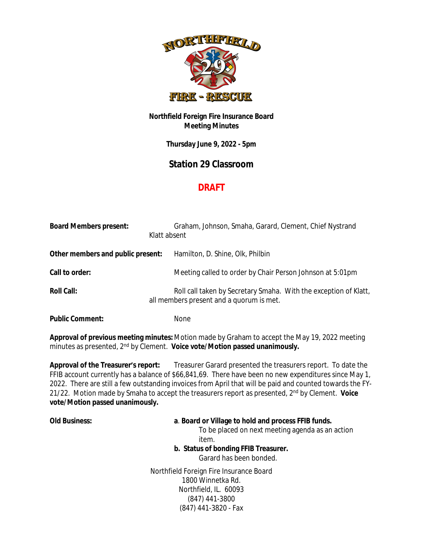

## **Northfield Foreign Fire Insurance Board Meeting Minutes**

**Thursday June 9, 2022 - 5pm**

## **Station 29 Classroom**

## **DRAFT**

| <b>Board Members present:</b>     | Klatt absent | Graham, Johnson, Smaha, Garard, Clement, Chief Nystrand                                                      |
|-----------------------------------|--------------|--------------------------------------------------------------------------------------------------------------|
| Other members and public present: |              | Hamilton, D. Shine, Olk, Philbin                                                                             |
| Call to order:                    |              | Meeting called to order by Chair Person Johnson at 5:01pm                                                    |
| <b>Roll Call:</b>                 |              | Roll call taken by Secretary Smaha. With the exception of Klatt,<br>all members present and a quorum is met. |
| <b>Public Comment:</b>            |              | None                                                                                                         |

**Approval of previous meeting minutes:** Motion made by Graham to accept the May 19, 2022 meeting minutes as presented, 2nd by Clement. **Voice vote/Motion passed unanimously.**

**Approval of the Treasurer's report:** Treasurer Garard presented the treasurers report. To date the FFIB account currently has a balance of \$66,841,69. There have been no new expenditures since May 1, 2022. There are still a few outstanding invoices from April that will be paid and counted towards the FY-21/22. Motion made by Smaha to accept the treasurers report as presented, 2nd by Clement. **Voice vote/Motion passed unanimously.** 

## **Old Business: a**. **Board or Village to hold and process FFIB funds.**

To be placed on next meeting agenda as an action item.

**b. Status of bonding FFIB Treasurer.**

Garard has been bonded.

Northfield Foreign Fire Insurance Board 1800 Winnetka Rd. Northfield, IL. 60093 (847) 441-3800 (847) 441-3820 - Fax